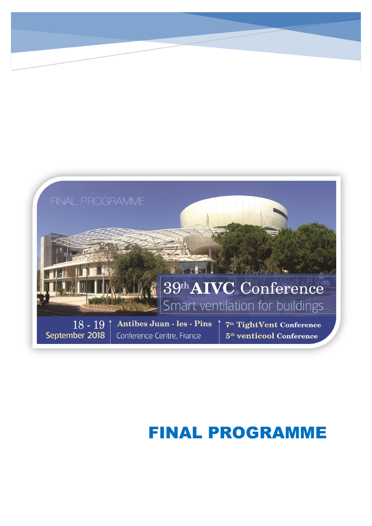

# FINAL PROGRAMME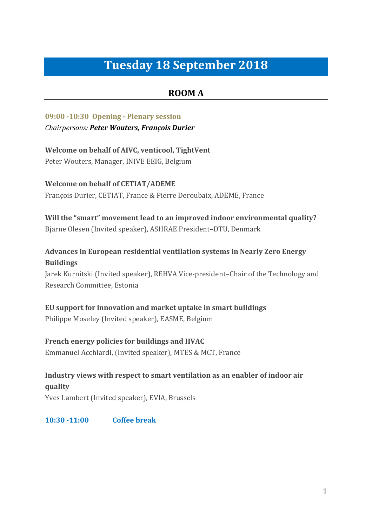# **Tuesday 18 September 2018**

## **ROOM A**

**09:00 -10:30 Opening - Plenary session**  *Chairpersons: Peter Wouters, François Durier*

**Welcome on behalf of AIVC, venticool, TightVent** Peter Wouters, Manager, INIVE EEIG, Belgium

**Welcome on behalf of CETIAT/ADEME** François Durier, CETIAT, France & Pierre Deroubaix, ADEME, France

**Will the "smart" movement lead to an improved indoor environmental quality?** Bjarne Olesen (Invited speaker), ASHRAE President–DTU, Denmark

## **Advances in European residential ventilation systems in Nearly Zero Energy Buildings**

Jarek Kurnitski (Invited speaker), REHVA Vice-president–Chair of the Technology and Research Committee, Estonia

**EU support for innovation and market uptake in smart buildings** Philippe Moseley (Invited speaker), EASME, Belgium

**French energy policies for buildings and HVAC**  Emmanuel Acchiardi, (Invited speaker), MTES & MCT, France

**Industry views with respect to smart ventilation as an enabler of indoor air quality** Yves Lambert (Invited speaker), EVIA, Brussels

**10:30 -11:00 Coffee break**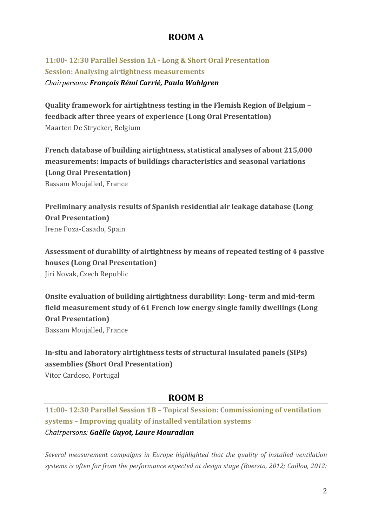**11:00- 12:30 Parallel Session 1A - Long & Short Oral Presentation Session: Analysing airtightness measurements**  *Chairpersons: François Rémi Carrié, Paula Wahlgren*

**Quality framework for airtightness testing in the Flemish Region of Belgium – feedback after three years of experience (Long Oral Presentation)** Maarten De Strycker, Belgium

**French database of building airtightness, statistical analyses of about 215,000 measurements: impacts of buildings characteristics and seasonal variations (Long Oral Presentation)** Bassam Moujalled, France

**Preliminary analysis results of Spanish residential air leakage database (Long Oral Presentation)** Irene Poza-Casado, Spain

**Assessment of durability of airtightness by means of repeated testing of 4 passive houses (Long Oral Presentation)** Jiri Novak, Czech Republic

**Onsite evaluation of building airtightness durability: Long- term and mid-term field measurement study of 61 French low energy single family dwellings (Long Oral Presentation)** Bassam Moujalled, France

**In-situ and laboratory airtightness tests of structural insulated panels (SIPs) assemblies (Short Oral Presentation)** Vitor Cardoso, Portugal

## **ROOM B**

**11:00- 12:30 Parallel Session 1B – Topical Session: Commissioning of ventilation systems – Improving quality of installed ventilation systems**  *Chairpersons: Gaëlle Guyot, Laure Mouradian*

*Several measurement campaigns in Europe highlighted that the quality of installed ventilation systems is often far from the performance expected at design stage (Boersta, 2012; Caillou, 2012:*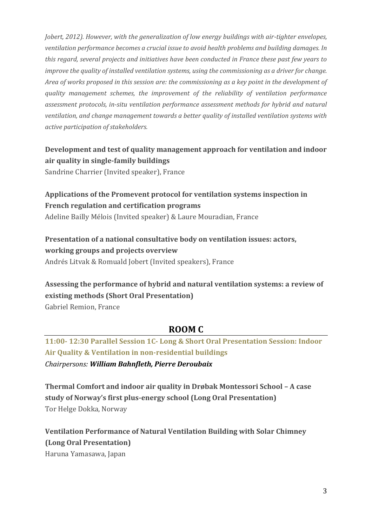*Jobert, 2012). However, with the generalization of low energy buildings with air-tighter envelopes, ventilation performance becomes a crucial issue to avoid health problems and building damages. In this regard, several projects and initiatives have been conducted in France these past few years to improve the quality of installed ventilation systems, using the commissioning as a driver for change. Area of works proposed in this session are: the commissioning as a key point in the development of quality management schemes, the improvement of the reliability of ventilation performance assessment protocols, in-situ ventilation performance assessment methods for hybrid and natural ventilation, and change management towards a better quality of installed ventilation systems with active participation of stakeholders.*

## **Development and test of quality management approach for ventilation and indoor air quality in single-family buildings**

Sandrine Charrier (Invited speaker), France

## **Applications of the Promevent protocol for ventilation systems inspection in French regulation and certification programs**

Adeline Bailly Mélois (Invited speaker) & Laure Mouradian, France

## **Presentation of a national consultative body on ventilation issues: actors, working groups and projects overview**

Andrés Litvak & Romuald Jobert (Invited speakers), France

## **Assessing the performance of hybrid and natural ventilation systems: a review of existing methods (Short Oral Presentation)**

Gabriel Remion, France

## **ROOM C**

## **11:00- 12:30 Parallel Session 1C- Long & Short Oral Presentation Session: Indoor Air Quality & Ventilation in non-residential buildings**  *Chairpersons: William Bahnfleth, Pierre Deroubaix*

**Thermal Comfort and indoor air quality in Drøbak Montessori School – A case study of Norway's first plus-energy school (Long Oral Presentation)** Tor Helge Dokka, Norway

**Ventilation Performance of Natural Ventilation Building with Solar Chimney (Long Oral Presentation)** Haruna Yamasawa, Japan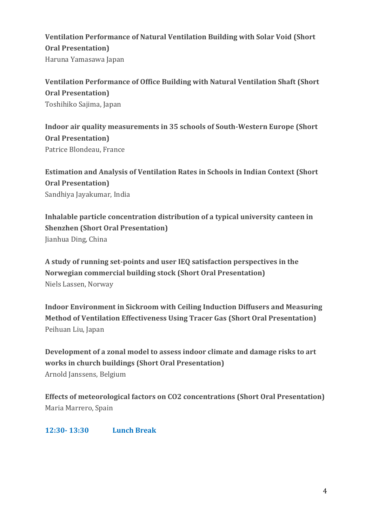## **Ventilation Performance of Natural Ventilation Building with Solar Void (Short Oral Presentation)** Haruna Yamasawa Japan

**Ventilation Performance of Office Building with Natural Ventilation Shaft (Short Oral Presentation)** Toshihiko Sajima, Japan

**Indoor air quality measurements in 35 schools of South-Western Europe (Short Oral Presentation)** Patrice Blondeau, France

**Estimation and Analysis of Ventilation Rates in Schools in Indian Context (Short Oral Presentation)** Sandhiya Jayakumar, India

**Inhalable particle concentration distribution of a typical university canteen in Shenzhen (Short Oral Presentation)** Jianhua Ding, China

**A study of running set-points and user IEQ satisfaction perspectives in the Norwegian commercial building stock (Short Oral Presentation)** Niels Lassen, Norway

**Indoor Environment in Sickroom with Ceiling Induction Diffusers and Measuring Method of Ventilation Effectiveness Using Tracer Gas (Short Oral Presentation)** Peihuan Liu, Japan

**Development of a zonal model to assess indoor climate and damage risks to art works in church buildings (Short Oral Presentation)** Arnold Janssens, Belgium

**Effects of meteorological factors on CO2 concentrations (Short Oral Presentation)** Maria Marrero, Spain

**12:30- 13:30 Lunch Break**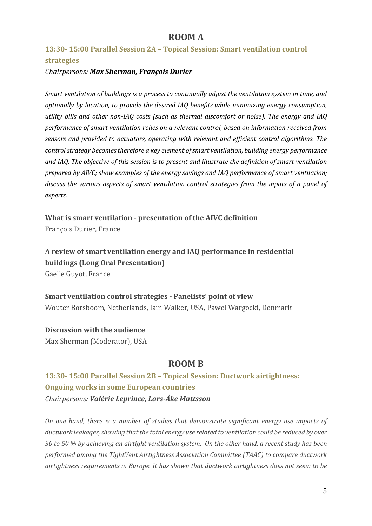**13:30- 15:00 Parallel Session 2A – Topical Session: Smart ventilation control strategies**

### *Chairpersons: Max Sherman, François Durier*

*Smart ventilation of buildings is a process to continually adjust the ventilation system in time, and optionally by location, to provide the desired IAQ benefits while minimizing energy consumption, utility bills and other non-IAQ costs (such as thermal discomfort or noise). The energy and IAQ performance of smart ventilation relies on a relevant control, based on information received from sensors and provided to actuators, operating with relevant and efficient control algorithms. The control strategy becomes therefore a key element of smart ventilation, building energy performance and IAQ. The objective of this session is to present and illustrate the definition of smart ventilation prepared by AIVC; show examples of the energy savings and IAQ performance of smart ventilation; discuss the various aspects of smart ventilation control strategies from the inputs of a panel of experts.*

**What is smart ventilation - presentation of the AIVC definition**  François Durier, France

**A review of smart ventilation energy and IAQ performance in residential buildings (Long Oral Presentation)** Gaelle Guyot, France

**Smart ventilation control strategies - Panelists' point of view** Wouter Borsboom, Netherlands, Iain Walker, USA, Pawel Wargocki, Denmark

#### **Discussion with the audience**

Max Sherman (Moderator), USA

## **ROOM B**

**13:30- 15:00 Parallel Session 2B – Topical Session: Ductwork airtightness: Ongoing works in some European countries**  *Chairpersons: Valérie Leprince, Lars-Åke Mattsson*

*On one hand, there is a number of studies that demonstrate significant energy use impacts of ductwork leakages, showing that the total energy use related to ventilation could be reduced by over 30 to 50 % by achieving an airtight ventilation system. On the other hand, a recent study has been performed among the TightVent Airtightness Association Committee (TAAC) to compare ductwork airtightness requirements in Europe. It has shown that ductwork airtightness does not seem to be*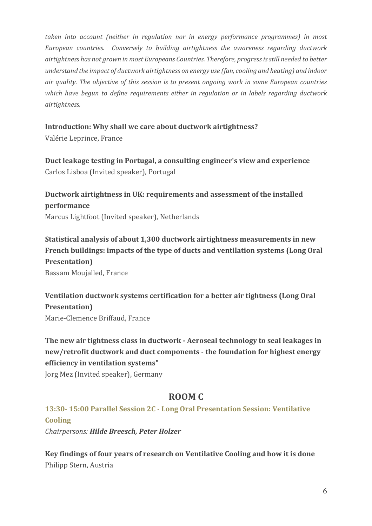*taken into account (neither in regulation nor in energy performance programmes) in most European countries. Conversely to building airtightness the awareness regarding ductwork airtightness has not grown in most Europeans Countries. Therefore, progress is still needed to better understand the impact of ductwork airtightness on energy use (fan, cooling and heating) and indoor air quality. The objective of this session is to present ongoing work in some European countries which have begun to define requirements either in regulation or in labels regarding ductwork airtightness.* 

### **Introduction: Why shall we care about ductwork airtightness?**

Valérie Leprince, France

**Duct leakage testing in Portugal, a consulting engineer's view and experience** Carlos Lisboa (Invited speaker), Portugal

**Ductwork airtightness in UK: requirements and assessment of the installed performance**  Marcus Lightfoot (Invited speaker), Netherlands

**Statistical analysis of about 1,300 ductwork airtightness measurements in new French buildings: impacts of the type of ducts and ventilation systems (Long Oral Presentation)** Bassam Moujalled, France

**Ventilation ductwork systems certification for a better air tightness (Long Oral Presentation)** Marie-Clemence Briffaud, France

**The new air tightness class in ductwork - Aeroseal technology to seal leakages in new/retrofit ductwork and duct components - the foundation for highest energy efficiency in ventilation systems"**

Jorg Mez (Invited speaker), Germany

## **ROOM C**

**13:30- 15:00 Parallel Session 2C - Long Oral Presentation Session: Ventilative Cooling**

*Chairpersons: Hilde Breesch, Peter Holzer*

**Key findings of four years of research on Ventilative Cooling and how it is done** Philipp Stern, Austria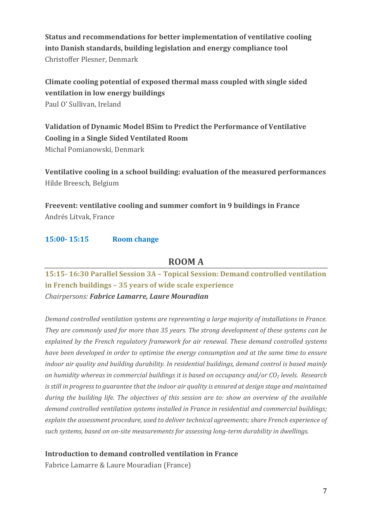**Status and recommendations for better implementation of ventilative cooling into Danish standards, building legislation and energy compliance tool** Christoffer Plesner, Denmark

**Climate cooling potential of exposed thermal mass coupled with single sided ventilation in low energy buildings** Paul O' Sullivan, Ireland

**Validation of Dynamic Model BSim to Predict the Performance of Ventilative Cooling in a Single Sided Ventilated Room** Michal Pomianowski, Denmark

**Ventilative cooling in a school building: evaluation of the measured performances** Hilde Breesch, Belgium

**Freevent: ventilative cooling and summer comfort in 9 buildings in France** Andrés Litvak, France

### **15:00- 15:15 Room change**

### **ROOM A**

**15:15- 16:30 Parallel Session 3A – Topical Session: Demand controlled ventilation in French buildings – 35 years of wide scale experience**  *Chairpersons: Fabrice Lamarre, Laure Mouradian*

*Demand controlled ventilation systems are representing a large majority of installations in France. They are commonly used for more than 35 years. The strong development of these systems can be explained by the French regulatory framework for air renewal. These demand controlled systems have been developed in order to optimise the energy consumption and at the same time to ensure indoor air quality and building durability. In residential buildings, demand control is based mainly on humidity whereas in commercial buildings it is based on occupancy and/or CO<sup>2</sup> levels. Research is still in progress to guarantee that the indoor air quality is ensured at design stage and maintained during the building life. The objectives of this session are to: show an overview of the available demand controlled ventilation systems installed in France in residential and commercial buildings; explain the assessment procedure, used to deliver technical agreements; share French experience of such systems, based on on-site measurements for assessing long-term durability in dwellings.*

### **Introduction to demand controlled ventilation in France**

Fabrice Lamarre & Laure Mouradian (France)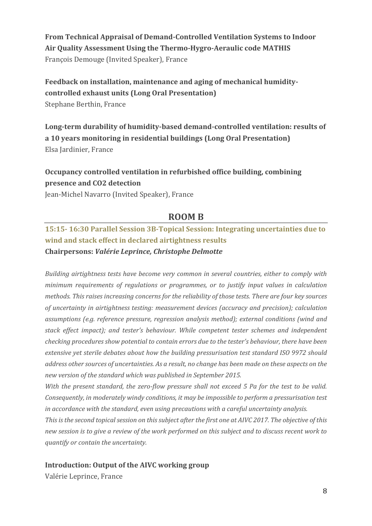**From Technical Appraisal of Demand-Controlled Ventilation Systems to Indoor Air Quality Assessment Using the Thermo-Hygro-Aeraulic code MATHIS** François Demouge (Invited Speaker), France

## **Feedback on installation, maintenance and aging of mechanical humiditycontrolled exhaust units (Long Oral Presentation)** Stephane Berthin, France

**Long-term durability of humidity-based demand-controlled ventilation: results of a 10 years monitoring in residential buildings (Long Oral Presentation)** Elsa Jardinier, France

## **Occupancy controlled ventilation in refurbished office building, combining presence and CO2 detection**

Jean-Michel Navarro (Invited Speaker), France

## **ROOM B**

## **15:15- 16:30 Parallel Session 3B-Topical Session: Integrating uncertainties due to wind and stack effect in declared airtightness results Chairpersons:** *Valérie Leprince, Christophe Delmotte*

*Building airtightness tests have become very common in several countries, either to comply with minimum requirements of regulations or programmes, or to justify input values in calculation methods. This raises increasing concerns for the reliability of those tests. There are four key sources of uncertainty in airtightness testing: measurement devices (accuracy and precision); calculation assumptions (e.g. reference pressure, regression analysis method); external conditions (wind and stack effect impact); and tester's behaviour. While competent tester schemes and independent checking procedures show potential to contain errors due to the tester's behaviour, there have been extensive yet sterile debates about how the building pressurisation test standard ISO 9972 should address other sources of uncertainties. As a result, no change has been made on these aspects on the new version of the standard which was published in September 2015.* 

*With the present standard, the zero-flow pressure shall not exceed 5 Pa for the test to be valid. Consequently, in moderately windy conditions, it may be impossible to perform a pressurisation test in accordance with the standard, even using precautions with a careful uncertainty analysis.*

*This is the second topical session on this subject after the first one at AIVC 2017. The objective of this new session is to give a review of the work performed on this subject and to discuss recent work to quantify or contain the uncertainty.*

### **Introduction: Output of the AIVC working group**

Valérie Leprince, France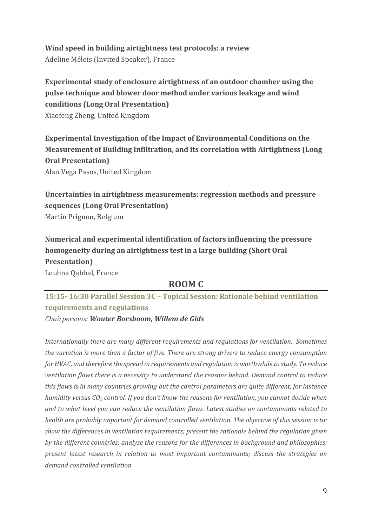## **Wind speed in building airtightness test protocols: a review**

Adeline Mélois (Invited Speaker), France

## **Experimental study of enclosure airtightness of an outdoor chamber using the pulse technique and blower door method under various leakage and wind conditions (Long Oral Presentation)** Xiaofeng Zheng, United Kingdom

**Experimental Investigation of the Impact of Environmental Conditions on the Measurement of Building Infiltration, and its correlation with Airtightness (Long Oral Presentation)**

Alan Vega Pasos, United Kingdom

**Uncertainties in airtightness measurements: regression methods and pressure sequences (Long Oral Presentation)** Martin Prignon, Belgium

**Numerical and experimental identification of factors influencing the pressure homogeneity during an airtightness test in a large building (Short Oral Presentation)** Loubna Qabbal, France

## **ROOM C**

**15:15- 16:30 Parallel Session 3C – Topical Session: Rationale behind ventilation requirements and regulations** 

*Chairpersons: Wouter Borsboom, Willem de Gids*

*Internationally there are many different requirements and regulations for ventilation. Sometimes the variation is more than a factor of five. There are strong drivers to reduce energy consumption for HVAC, and therefore the spread in requirements and regulation is worthwhile to study. To reduce ventilation flows there is a necessity to understand the reasons behind. Demand control to reduce this flows is in many countries growing but the control parameters are quite different, for instance humidity versus CO<sup>2</sup> control. If you don't know the reasons for ventilation, you cannot decide when and to what level you can reduce the ventilation flows. Latest studies on contaminants related to health are probably important for demand controlled ventilation. The objective of this session is to: show the differences in ventilation requirements; present the rationale behind the regulation given by the different countries; analyse the reasons for the differences in background and philosophies; present latest research in relation to most important contaminants; discuss the strategies on demand controlled ventilation*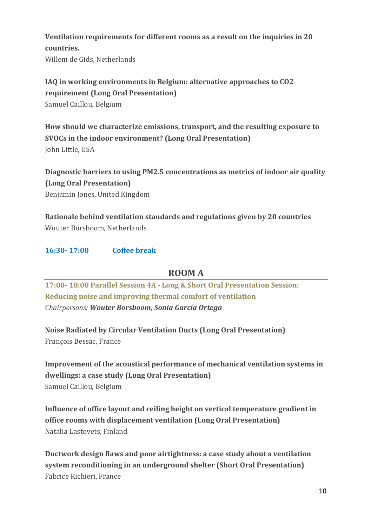## **Ventilation requirements for different rooms as a result on the inquiries in 20 countries.**

Willem de Gids, Netherlands

## **IAQ in working environments in Belgium: alternative approaches to CO2 requirement (Long Oral Presentation)** Samuel Caillou, Belgium

**How should we characterize emissions, transport, and the resulting exposure to SVOCs in the indoor environment? (Long Oral Presentation)** John Little, USA

**Diagnostic barriers to using PM2.5 concentrations as metrics of indoor air quality (Long Oral Presentation)**

Benjamin Jones, United Kingdom

**Rationale behind ventilation standards and regulations given by 20 countries** Wouter Borsboom, Netherlands

### **16:30- 17:00 Coffee break**

## **ROOM A**

**17:00- 18:00 Parallel Session 4A - Long & Short Oral Presentation Session: Reducing noise and improving thermal comfort of ventilation** *Chairpersons: Wouter Borsboom, Sonia García Ortega*

**Noise Radiated by Circular Ventilation Ducts (Long Oral Presentation)** François Bessac, France

**Improvement of the acoustical performance of mechanical ventilation systems in dwellings: a case study (Long Oral Presentation)** Samuel Caillou, Belgium

**Influence of office layout and ceiling height on vertical temperature gradient in office rooms with displacement ventilation (Long Oral Presentation)** Natalia Lastovets, Finland

**Ductwork design flaws and poor airtightness: a case study about a ventilation system reconditioning in an underground shelter (Short Oral Presentation)** Fabrice Richieri, France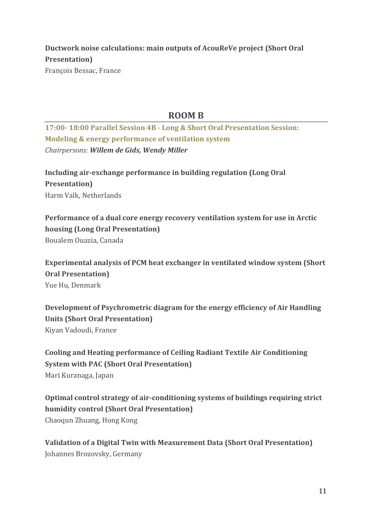## **Ductwork noise calculations: main outputs of AcouReVe project (Short Oral Presentation)** François Bessac, France

## **ROOM B**

**17:00- 18:00 Parallel Session 4B - Long & Short Oral Presentation Session: Modeling & energy performance of ventilation system** *Chairpersons: Willem de Gids, Wendy Miller*

**Including air-exchange performance in building regulation (Long Oral Presentation)** Harm Valk, Netherlands

**Performance of a dual core energy recovery ventilation system for use in Arctic housing (Long Oral Presentation)** Boualem Ouazia, Canada

**Experimental analysis of PCM heat exchanger in ventilated window system (Short Oral Presentation)** Yue Hu, Denmark

**Development of Psychrometric diagram for the energy efficiency of Air Handling Units (Short Oral Presentation)** Kiyan Vadoudi, France

**Cooling and Heating performance of Ceiling Radiant Textile Air Conditioning System with PAC (Short Oral Presentation)** Mari Kuranaga, Japan

**Optimal control strategy of air-conditioning systems of buildings requiring strict humidity control (Short Oral Presentation)** Chaoqun Zhuang, Hong Kong

**Validation of a Digital Twin with Measurement Data (Short Oral Presentation)** Johannes Brozovsky, Germany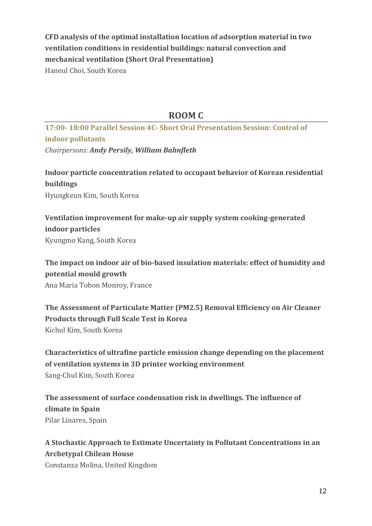## **CFD analysis of the optimal installation location of adsorption material in two ventilation conditions in residential buildings: natural convection and mechanical ventilation (Short Oral Presentation)**

Haneul Choi, South Korea

## **ROOM C**

**17:00- 18:00 Parallel Session 4C- Short Oral Presentation Session: Control of indoor pollutants** *Chairpersons: Andy Persily, William Bahnfleth*

**Indoor particle concentration related to occupant behavior of Korean residential buildings** Hyungkeun Kim, South Korea

**Ventilation improvement for make-up air supply system cooking-generated indoor particles** Kyungmo Kang, South Korea

**The impact on indoor air of bio-based insulation materials: effect of humidity and potential mould growth** Ana Maria Tobon Monroy, France

**The Assessment of Particulate Matter (PM2.5) Removal Efficiency on Air Cleaner Products through Full Scale Test in Korea** Kichul Kim, South Korea

**Characteristics of ultrafine particle emission change depending on the placement of ventilation systems in 3D printer working environment**  Sang-Chul Kim, South Korea

**The assessment of surface condensation risk in dwellings. The influence of climate in Spain** Pilar Linares, Spain

**A Stochastic Approach to Estimate Uncertainty in Pollutant Concentrations in an Archetypal Chilean House**

Constanza Molina, United Kingdom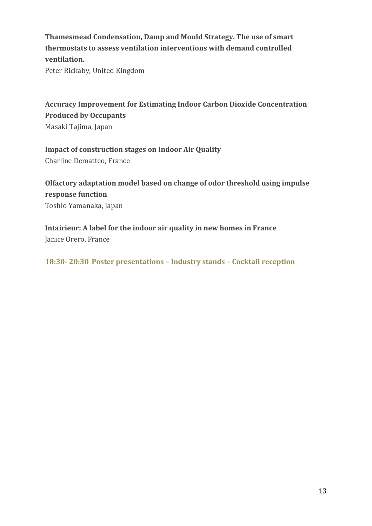**Thamesmead Condensation, Damp and Mould Strategy. The use of smart thermostats to assess ventilation interventions with demand controlled ventilation.**

Peter Rickaby, United Kingdom

**Accuracy Improvement for Estimating Indoor Carbon Dioxide Concentration Produced by Occupants** Masaki Tajima, Japan

**Impact of construction stages on Indoor Air Quality** Charline Dematteo, France

**Olfactory adaptation model based on change of odor threshold using impulse response function** Toshio Yamanaka, Japan

**Intairieur: A label for the indoor air quality in new homes in France** Janice Orero, France

**18:30- 20:30 Poster presentations – Industry stands – Cocktail reception**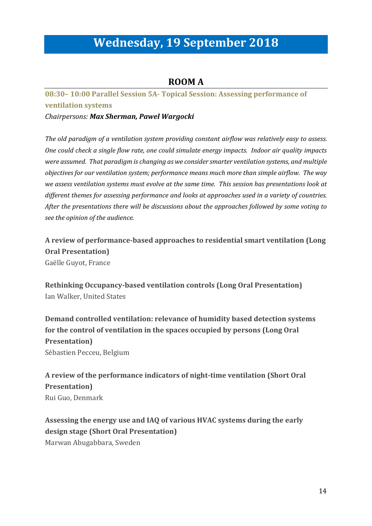# **Wednesday, 19 September 2018**

## **ROOM A**

## **08:30– 10:00 Parallel Session 5A- Topical Session: Assessing performance of ventilation systems**

*Chairpersons: Max Sherman, Pawel Wargocki*

*The old paradigm of a ventilation system providing constant airflow was relatively easy to assess. One could check a single flow rate, one could simulate energy impacts. Indoor air quality impacts were assumed. That paradigm is changing as we consider smarter ventilation systems, and multiple objectives for our ventilation system; performance means much more than simple airflow. The way we assess ventilation systems must evolve at the same time. This session has presentations look at different themes for assessing performance and looks at approaches used in a variety of countries. After the presentations there will be discussions about the approaches followed by some voting to see the opinion of the audience.*

**A review of performance-based approaches to residential smart ventilation (Long Oral Presentation)** Gaëlle Guyot, France

**Rethinking Occupancy-based ventilation controls (Long Oral Presentation)** Ian Walker, United States

**Demand controlled ventilation: relevance of humidity based detection systems for the control of ventilation in the spaces occupied by persons (Long Oral Presentation)** Sébastien Pecceu, Belgium

**A review of the performance indicators of night-time ventilation (Short Oral Presentation)** Rui Guo, Denmark

**Assessing the energy use and IAQ of various HVAC systems during the early design stage (Short Oral Presentation)** Marwan Abugabbara, Sweden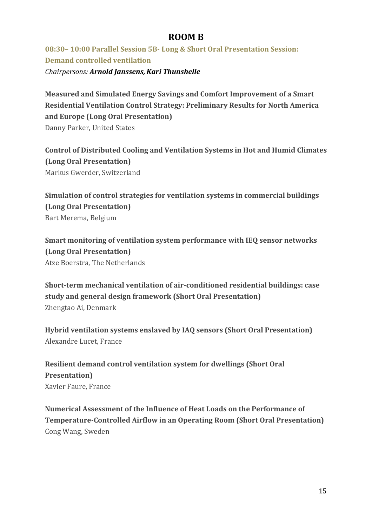## **ROOM B**

**08:30– 10:00 Parallel Session 5B- Long & Short Oral Presentation Session: Demand controlled ventilation**  *Chairpersons: Arnold Janssens,Kari Thunshelle*

**Measured and Simulated Energy Savings and Comfort Improvement of a Smart Residential Ventilation Control Strategy: Preliminary Results for North America and Europe (Long Oral Presentation)** Danny Parker, United States

**Control of Distributed Cooling and Ventilation Systems in Hot and Humid Climates (Long Oral Presentation)** Markus Gwerder, Switzerland

**Simulation of control strategies for ventilation systems in commercial buildings (Long Oral Presentation)** Bart Merema, Belgium

**Smart monitoring of ventilation system performance with IEQ sensor networks (Long Oral Presentation)** Atze Boerstra, The Netherlands

**Short-term mechanical ventilation of air-conditioned residential buildings: case study and general design framework (Short Oral Presentation)** Zhengtao Ai, Denmark

**Hybrid ventilation systems enslaved by IAQ sensors (Short Oral Presentation)** Alexandre Lucet, France

**Resilient demand control ventilation system for dwellings (Short Oral Presentation)** Xavier Faure, France

**Numerical Assessment of the Influence of Heat Loads on the Performance of Temperature-Controlled Airflow in an Operating Room (Short Oral Presentation)** Cong Wang, Sweden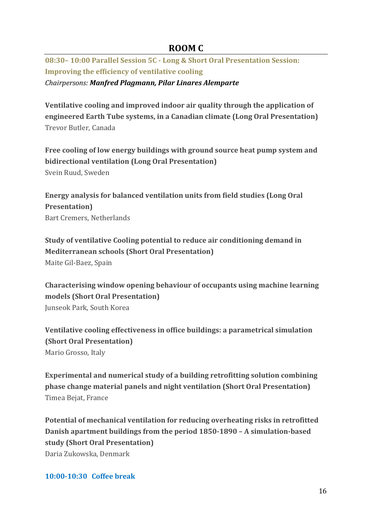## **ROOM C**

**08:30– 10:00 Parallel Session 5C - Long & Short Oral Presentation Session: Improving the efficiency of ventilative cooling**

*Chairpersons: Manfred Plagmann, Pilar Linares Alemparte*

**Ventilative cooling and improved indoor air quality through the application of engineered Earth Tube systems, in a Canadian climate (Long Oral Presentation)** Trevor Butler, Canada

**Free cooling of low energy buildings with ground source heat pump system and bidirectional ventilation (Long Oral Presentation)** Svein Ruud, Sweden

**Energy analysis for balanced ventilation units from field studies (Long Oral Presentation)** Bart Cremers, Netherlands

**Study of ventilative Cooling potential to reduce air conditioning demand in Mediterranean schools (Short Oral Presentation)** Maite Gil-Baez, Spain

**Characterising window opening behaviour of occupants using machine learning models (Short Oral Presentation)** Junseok Park, South Korea

**Ventilative cooling effectiveness in office buildings: a parametrical simulation (Short Oral Presentation)** Mario Grosso, Italy

**Experimental and numerical study of a building retrofitting solution combining phase change material panels and night ventilation (Short Oral Presentation)** Timea Bejat, France

**Potential of mechanical ventilation for reducing overheating risks in retrofitted Danish apartment buildings from the period 1850-1890 – A simulation-based study (Short Oral Presentation)** Daria Zukowska, Denmark

**10:00-10:30 Coffee break**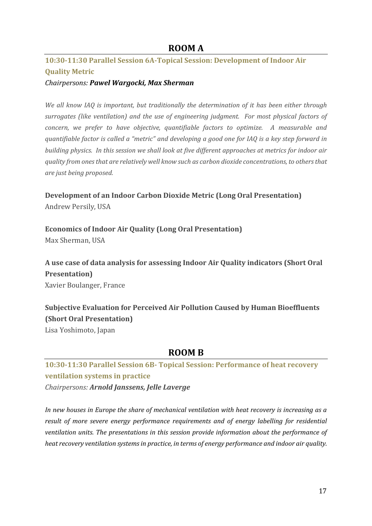### **ROOM A**

## **10:30-11:30 Parallel Session 6A-Topical Session: Development of Indoor Air Quality Metric**

#### *Chairpersons: Pawel Wargocki, Max Sherman*

*We all know IAQ is important, but traditionally the determination of it has been either through surrogates (like ventilation) and the use of engineering judgment. For most physical factors of concern, we prefer to have objective, quantifiable factors to optimize. A measurable and quantifiable factor is called a "metric" and developing a good one for IAQ is a key step forward in building physics. In this session we shall look at five different approaches at metrics for indoor air quality from ones that are relatively well know such as carbon dioxide concentrations, to others that are just being proposed.*

# **Development of an Indoor Carbon Dioxide Metric (Long Oral Presentation)**

Andrew Persily, USA

**Economics of Indoor Air Quality (Long Oral Presentation)** Max Sherman, USA

**A use case of data analysis for assessing Indoor Air Quality indicators (Short Oral Presentation)** Xavier Boulanger, France

**Subjective Evaluation for Perceived Air Pollution Caused by Human Bioeffluents (Short Oral Presentation)**

Lisa Yoshimoto, Japan

## **ROOM B**

**10:30-11:30 Parallel Session 6B- Topical Session: Performance of heat recovery ventilation systems in practice** 

*Chairpersons: Arnold Janssens, Jelle Laverge*

*In new houses in Europe the share of mechanical ventilation with heat recovery is increasing as a result of more severe energy performance requirements and of energy labelling for residential ventilation units. The presentations in this session provide information about the performance of heat recovery ventilation systems in practice, in terms of energy performance and indoor air quality.*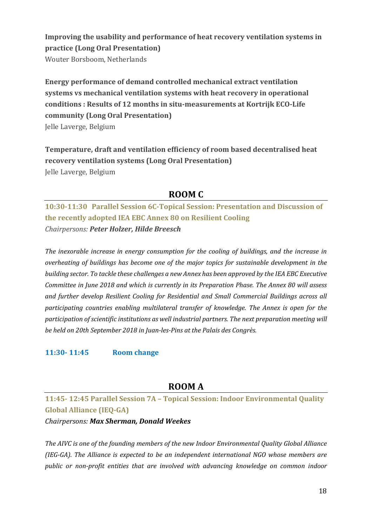**Improving the usability and performance of heat recovery ventilation systems in practice (Long Oral Presentation)**

Wouter Borsboom, Netherlands

**Energy performance of demand controlled mechanical extract ventilation systems vs mechanical ventilation systems with heat recovery in operational conditions : Results of 12 months in situ-measurements at Kortrijk ECO-Life community (Long Oral Presentation)** Jelle Laverge, Belgium

**Temperature, draft and ventilation efficiency of room based decentralised heat recovery ventilation systems (Long Oral Presentation)** Jelle Laverge, Belgium

## **ROOM C**

**10:30-11:30 Parallel Session 6C-Topical Session: Presentation and Discussion of the recently adopted IEA EBC Annex 80 on Resilient Cooling** *Chairpersons: Peter Holzer, Hilde Breesch*

*The inexorable increase in energy consumption for the cooling of buildings, and the increase in overheating of buildings has become one of the major topics for sustainable development in the building sector. To tackle these challenges a new Annex has been approved by the IEA EBC Executive Committee in June 2018 and which is currently in its Preparation Phase. The Annex 80 will assess and further develop Resilient Cooling for Residential and Small Commercial Buildings across all participating countries enabling multilateral transfer of knowledge. The Annex is open for the participation of scientific institutions as well industrial partners. The next preparation meeting will be held on 20th September 2018 in Juan-les-Pins at the Palais des Congrès.*

### **11:30- 11:45 Room change**

## **ROOM A**

**11:45- 12:45 Parallel Session 7A – Topical Session: Indoor Environmental Quality Global Alliance (IEQ-GA)** 

*Chairpersons: Max Sherman, Donald Weekes*

*The AIVC is one of the founding members of the new Indoor Environmental Quality Global Alliance (IEG-GA). The Alliance is expected to be an independent international NGO whose members are public or non-profit entities that are involved with advancing knowledge on common indoor*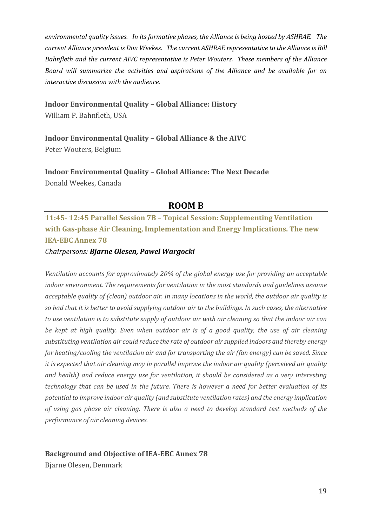*environmental quality issues. In its formative phases, the Alliance is being hosted by ASHRAE. The current Alliance president is Don Weekes. The current ASHRAE representative to the Alliance is Bill Bahnfleth and the current AIVC representative is Peter Wouters. These members of the Alliance Board will summarize the activities and aspirations of the Alliance and be available for an interactive discussion with the audience.*

#### **Indoor Environmental Quality – Global Alliance: History**

William P. Bahnfleth, USA

**Indoor Environmental Quality – Global Alliance & the AIVC** Peter Wouters, Belgium

**Indoor Environmental Quality – Global Alliance: The Next Decade** Donald Weekes, Canada

### **ROOM B**

**11:45- 12:45 Parallel Session 7B – Topical Session: Supplementing Ventilation with Gas-phase Air Cleaning, Implementation and Energy Implications. The new IEA-EBC Annex 78** 

#### *Chairpersons: Bjarne Olesen, Pawel Wargocki*

*Ventilation accounts for approximately 20% of the global energy use for providing an acceptable indoor environment. The requirements for ventilation in the most standards and guidelines assume acceptable quality of (clean) outdoor air. In many locations in the world, the outdoor air quality is so bad that it is better to avoid supplying outdoor air to the buildings. In such cases, the alternative to use ventilation is to substitute supply of outdoor air with air cleaning so that the indoor air can be kept at high quality. Even when outdoor air is of a good quality, the use of air cleaning substituting ventilation air could reduce the rate of outdoor air supplied indoors and thereby energy for heating/cooling the ventilation air and for transporting the air (fan energy) can be saved. Since it is expected that air cleaning may in parallel improve the indoor air quality (perceived air quality and health) and reduce energy use for ventilation, it should be considered as a very interesting technology that can be used in the future. There is however a need for better evaluation of its potential to improve indoor air quality (and substitute ventilation rates) and the energy implication of using gas phase air cleaning. There is also a need to develop standard test methods of the performance of air cleaning devices.* 

#### **Background and Objective of IEA-EBC Annex 78**

Bjarne Olesen, Denmark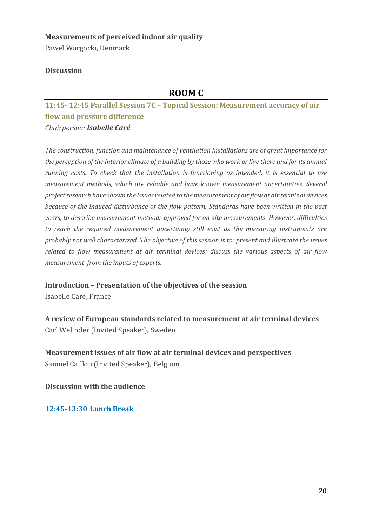# **Measurements of perceived indoor air quality**

Pawel Wargocki, Denmark

### **Discussion**

## **ROOM C**

**11:45- 12:45 Parallel Session 7C – Topical Session: Measurement accuracy of air flow and pressure difference** *Chairperson: Isabelle Caré*

*The construction, function and maintenance of ventilation installations are of great importance for the perception of the interior climate of a building by those who work or live there and for its annual running costs. To check that the installation is functioning as intended, it is essential to use measurement methods, which are reliable and have known measurement uncertainties. Several project research have shown the issues related to the measurement of air flow at air terminal devices because of the induced disturbance of the flow pattern. Standards have been written in the past years, to describe measurement methods approved for on-site measurements. However, difficulties to reach the required measurement uncertainty still exist as the measuring instruments are probably not well characterized. The objective of this session is to: present and illustrate the issues related to flow measurement at air terminal devices; discuss the various aspects of air flow measurement from the inputs of experts.*

**Introduction – Presentation of the objectives of the session** 

Isabelle Care, France

**A review of European standards related to measurement at air terminal devices** Carl Welinder (Invited Speaker), Sweden

**Measurement issues of air flow at air terminal devices and perspectives**  Samuel Caillou (Invited Speaker), Belgium

**Discussion with the audience**

**12:45-13:30 Lunch Break**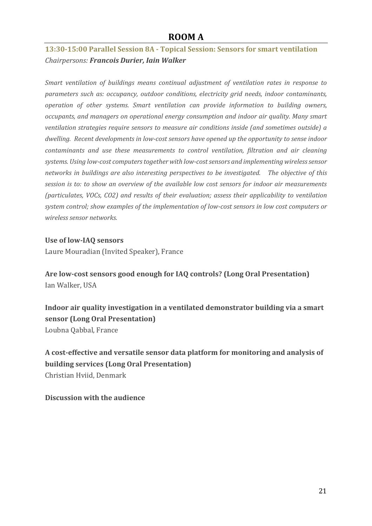## **ROOM A**

## **13:30-15:00 Parallel Session 8A - Topical Session: Sensors for smart ventilation**  *Chairpersons: Francois Durier, Iain Walker*

*Smart ventilation of buildings means continual adjustment of ventilation rates in response to parameters such as: occupancy, outdoor conditions, electricity grid needs, indoor contaminants, operation of other systems. Smart ventilation can provide information to building owners, occupants, and managers on operational energy consumption and indoor air quality. Many smart ventilation strategies require sensors to measure air conditions inside (and sometimes outside) a dwelling. Recent developments in low-cost sensors have opened up the opportunity to sense indoor contaminants and use these measurements to control ventilation, filtration and air cleaning systems. Using low-cost computers together with low-cost sensors and implementing wireless sensor networks in buildings are also interesting perspectives to be investigated. The objective of this session is to: to show an overview of the available low cost sensors for indoor air measurements (particulates, VOCs, CO2) and results of their evaluation; assess their applicability to ventilation system control; show examples of the implementation of low-cost sensors in low cost computers or wireless sensor networks.*

#### **Use of low-IAQ sensors**

Laure Mouradian (Invited Speaker), France

**Are low-cost sensors good enough for IAQ controls? (Long Oral Presentation)** Ian Walker, USA

**Indoor air quality investigation in a ventilated demonstrator building via a smart sensor (Long Oral Presentation)** Loubna Qabbal, France

**A cost-effective and versatile sensor data platform for monitoring and analysis of building services (Long Oral Presentation)** Christian Hviid, Denmark

### **Discussion with the audience**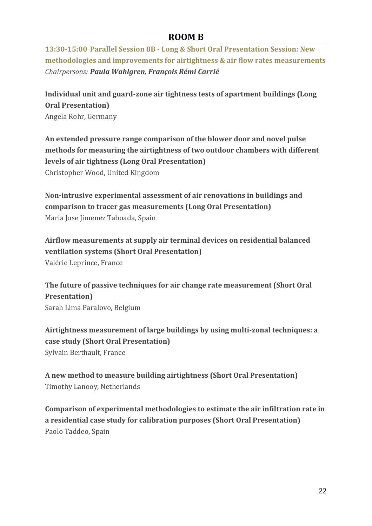## **ROOM B**

**13:30-15:00 Parallel Session 8B - Long & Short Oral Presentation Session: New methodologies and improvements for airtightness & air flow rates measurements**  *Chairpersons: Paula Wahlgren, François Rémi Carrié*

**Individual unit and guard-zone air tightness tests of apartment buildings (Long Oral Presentation)** Angela Rohr, Germany

**An extended pressure range comparison of the blower door and novel pulse methods for measuring the airtightness of two outdoor chambers with different levels of air tightness (Long Oral Presentation)** Christopher Wood, United Kingdom

**Non-intrusive experimental assessment of air renovations in buildings and comparison to tracer gas measurements (Long Oral Presentation)** Maria Jose Jimenez Taboada, Spain

**Airflow measurements at supply air terminal devices on residential balanced ventilation systems (Short Oral Presentation)** Valérie Leprince, France

**The future of passive techniques for air change rate measurement (Short Oral Presentation)** Sarah Lima Paralovo, Belgium

**Airtightness measurement of large buildings by using multi-zonal techniques: a case study (Short Oral Presentation)** Sylvain Berthault, France

**A new method to measure building airtightness (Short Oral Presentation)** Timothy Lanooy, Netherlands

**Comparison of experimental methodologies to estimate the air infiltration rate in a residential case study for calibration purposes (Short Oral Presentation)** Paolo Taddeo, Spain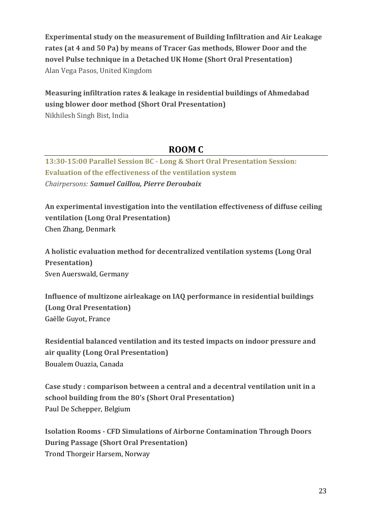**Experimental study on the measurement of Building Infiltration and Air Leakage rates (at 4 and 50 Pa) by means of Tracer Gas methods, Blower Door and the novel Pulse technique in a Detached UK Home (Short Oral Presentation)** Alan Vega Pasos, United Kingdom

**Measuring infiltration rates & leakage in residential buildings of Ahmedabad using blower door method (Short Oral Presentation)** Nikhilesh Singh Bist, India

## **ROOM C**

**13:30-15:00 Parallel Session 8C - Long & Short Oral Presentation Session: Evaluation of the effectiveness of the ventilation system**  *Chairpersons: Samuel Caillou, Pierre Deroubaix*

**An experimental investigation into the ventilation effectiveness of diffuse ceiling ventilation (Long Oral Presentation)** Chen Zhang, Denmark

**A holistic evaluation method for decentralized ventilation systems (Long Oral Presentation)** Sven Auerswald, Germany

**Influence of multizone airleakage on IAQ performance in residential buildings (Long Oral Presentation)** Gaëlle Guyot, France

**Residential balanced ventilation and its tested impacts on indoor pressure and air quality (Long Oral Presentation)** Boualem Ouazia, Canada

**Case study : comparison between a central and a decentral ventilation unit in a school building from the 80's (Short Oral Presentation)** Paul De Schepper, Belgium

**Isolation Rooms - CFD Simulations of Airborne Contamination Through Doors During Passage (Short Oral Presentation)** Trond Thorgeir Harsem, Norway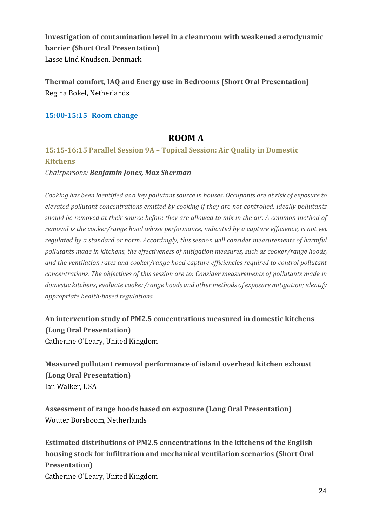**Investigation of contamination level in a cleanroom with weakened aerodynamic barrier (Short Oral Presentation)** Lasse Lind Knudsen, Denmark

**Thermal comfort, IAQ and Energy use in Bedrooms (Short Oral Presentation)** Regina Bokel, Netherlands

### **15:00-15:15 Room change**

## **ROOM A**

**15:15-16:15 Parallel Session 9A – Topical Session: Air Quality in Domestic Kitchens** 

*Chairpersons: Benjamin Jones, Max Sherman*

*Cooking has been identified as a key pollutant source in houses. Occupants are at risk of exposure to elevated pollutant concentrations emitted by cooking if they are not controlled. Ideally pollutants should be removed at their source before they are allowed to mix in the air. A common method of removal is the cooker/range hood whose performance, indicated by a capture efficiency, is not yet regulated by a standard or norm. Accordingly, this session will consider measurements of harmful pollutants made in kitchens, the effectiveness of mitigation measures, such as cooker/range hoods, and the ventilation rates and cooker/range hood capture efficiencies required to control pollutant concentrations. The objectives of this session are to: Consider measurements of pollutants made in domestic kitchens; evaluate cooker/range hoods and other methods of exposure mitigation; identify appropriate health-based regulations.*

**An intervention study of PM2.5 concentrations measured in domestic kitchens (Long Oral Presentation)** Catherine O'Leary, United Kingdom

**Measured pollutant removal performance of island overhead kitchen exhaust (Long Oral Presentation)** Ian Walker, USA

**Assessment of range hoods based on exposure (Long Oral Presentation)** Wouter Borsboom, Netherlands

**Estimated distributions of PM2.5 concentrations in the kitchens of the English housing stock for infiltration and mechanical ventilation scenarios (Short Oral Presentation)** Catherine O'Leary, United Kingdom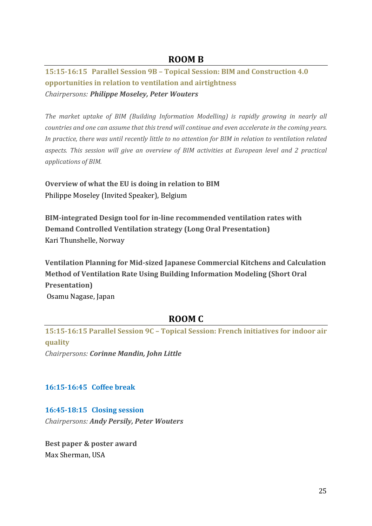## **ROOM B**

## **15:15-16:15 Parallel Session 9B – Topical Session: BIM and Construction 4.0 opportunities in relation to ventilation and airtightness**  *Chairpersons: Philippe Moseley, Peter Wouters*

*The market uptake of BIM (Building Information Modelling) is rapidly growing in nearly all countries and one can assume that this trend will continue and even accelerate in the coming years. In practice, there was until recently little to no attention for BIM in relation to ventilation related aspects. This session will give an overview of BIM activities at European level and 2 practical applications of BIM.*

**Overview of what the EU is doing in relation to BIM** Philippe Moseley (Invited Speaker), Belgium

**BIM-integrated Design tool for in-line recommended ventilation rates with Demand Controlled Ventilation strategy (Long Oral Presentation)** Kari Thunshelle, Norway

**Ventilation Planning for Mid-sized Japanese Commercial Kitchens and Calculation Method of Ventilation Rate Using Building Information Modeling (Short Oral Presentation)** Osamu Nagase, Japan

## **ROOM C**

**15:15-16:15 Parallel Session 9C – Topical Session: French initiatives for indoor air quality**  *Chairpersons: Corinne Mandin, John Little*

## **16:15-16:45 Coffee break**

### **16:45-18:15 Closing session**

*Chairpersons: Andy Persily, Peter Wouters*

**Best paper & poster award** Max Sherman, USA